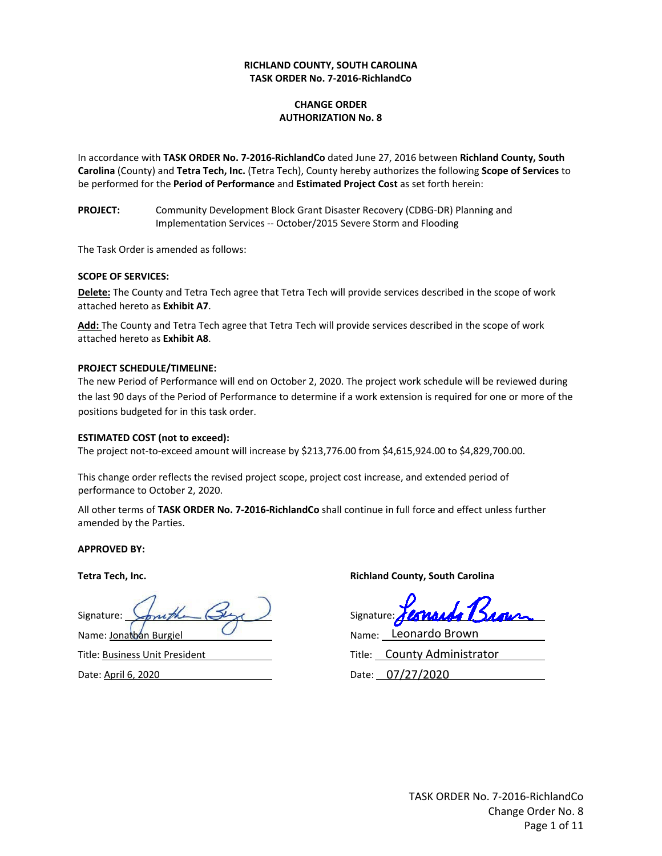#### **RICHLAND COUNTY, SOUTH CAROLINA TASK ORDER No. 7‐2016‐RichlandCo**

### **CHANGE ORDER AUTHORIZATION No. 8**

In accordance with **TASK ORDER No. 7‐2016‐RichlandCo** dated June 27, 2016 between **Richland County, South Carolina** (County) and **Tetra Tech, Inc.** (Tetra Tech), County hereby authorizes the following **Scope of Services** to be performed for the **Period of Performance** and **Estimated Project Cost** as set forth herein:

**PROJECT:** Community Development Block Grant Disaster Recovery (CDBG-DR) Planning and Implementation Services ‐‐ October/2015 Severe Storm and Flooding

The Task Order is amended as follows:

#### **SCOPE OF SERVICES:**

**Delete:** The County and Tetra Tech agree that Tetra Tech will provide services described in the scope of work attached hereto as **Exhibit A7**.

**Add:** The County and Tetra Tech agree that Tetra Tech will provide services described in the scope of work attached hereto as **Exhibit A8**.

#### **PROJECT SCHEDULE/TIMELINE:**

The new Period of Performance will end on October 2, 2020. The project work schedule will be reviewed during the last 90 days of the Period of Performance to determine if a work extension is required for one or more of the positions budgeted for in this task order.

#### **ESTIMATED COST (not to exceed):**

The project not‐to‐exceed amount will increase by \$213,776.00 from \$4,615,924.00 to \$4,829,700.00.

This change order reflects the revised project scope, project cost increase, and extended period of performance to October 2, 2020.

All other terms of **TASK ORDER No. 7‐2016‐RichlandCo** shall continue in full force and effect unless further amended by the Parties.

#### **APPROVED BY:**

Signature: Signature: Name: Jonathan Burgiel

Title: Business Unit President

Date: April 6, 2020

**Tetra Tech, Inc. Richland County, South Carolina**

Fernando

Name: Leonardo Brown

Title: County Administrator

Date: 07/27/2020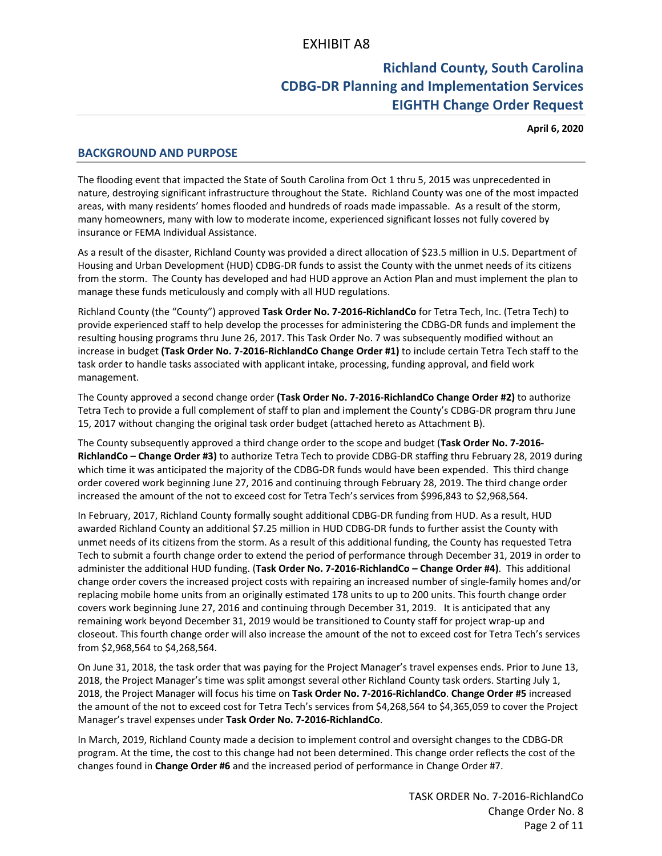# **Richland County, South Carolina CDBG‐DR Planning and Implementation Services EIGHTH Change Order Request**

**April 6, 2020**

# **BACKGROUND AND PURPOSE**

The flooding event that impacted the State of South Carolina from Oct 1 thru 5, 2015 was unprecedented in nature, destroying significant infrastructure throughout the State. Richland County was one of the most impacted areas, with many residents' homes flooded and hundreds of roads made impassable. As a result of the storm, many homeowners, many with low to moderate income, experienced significant losses not fully covered by insurance or FEMA Individual Assistance.

As a result of the disaster, Richland County was provided a direct allocation of \$23.5 million in U.S. Department of Housing and Urban Development (HUD) CDBG‐DR funds to assist the County with the unmet needs of its citizens from the storm. The County has developed and had HUD approve an Action Plan and must implement the plan to manage these funds meticulously and comply with all HUD regulations.

Richland County (the "County") approved **Task Order No. 7‐2016‐RichlandCo** for Tetra Tech, Inc. (Tetra Tech) to provide experienced staff to help develop the processes for administering the CDBG‐DR funds and implement the resulting housing programs thru June 26, 2017. This Task Order No. 7 was subsequently modified without an increase in budget **(Task Order No. 7‐2016‐RichlandCo Change Order #1)** to include certain Tetra Tech staff to the task order to handle tasks associated with applicant intake, processing, funding approval, and field work management.

The County approved a second change order **(Task Order No. 7‐2016‐RichlandCo Change Order #2)** to authorize Tetra Tech to provide a full complement of staff to plan and implement the County's CDBG‐DR program thru June 15, 2017 without changing the original task order budget (attached hereto as Attachment B).

The County subsequently approved a third change order to the scope and budget (**Task Order No. 7‐2016‐ RichlandCo – Change Order #3)** to authorize Tetra Tech to provide CDBG‐DR staffing thru February 28, 2019 during which time it was anticipated the majority of the CDBG-DR funds would have been expended. This third change order covered work beginning June 27, 2016 and continuing through February 28, 2019. The third change order increased the amount of the not to exceed cost for Tetra Tech's services from \$996,843 to \$2,968,564.

In February, 2017, Richland County formally sought additional CDBG‐DR funding from HUD. As a result, HUD awarded Richland County an additional \$7.25 million in HUD CDBG‐DR funds to further assist the County with unmet needs of its citizens from the storm. As a result of this additional funding, the County has requested Tetra Tech to submit a fourth change order to extend the period of performance through December 31, 2019 in order to administer the additional HUD funding. (**Task Order No. 7‐2016‐RichlandCo – Change Order #4)**. This additional change order covers the increased project costs with repairing an increased number of single‐family homes and/or replacing mobile home units from an originally estimated 178 units to up to 200 units. This fourth change order covers work beginning June 27, 2016 and continuing through December 31, 2019. It is anticipated that any remaining work beyond December 31, 2019 would be transitioned to County staff for project wrap‐up and closeout. This fourth change order will also increase the amount of the not to exceed cost for Tetra Tech's services from \$2,968,564 to \$4,268,564.

On June 31, 2018, the task order that was paying for the Project Manager's travel expenses ends. Prior to June 13, 2018, the Project Manager's time was split amongst several other Richland County task orders. Starting July 1, 2018, the Project Manager will focus his time on **Task Order No. 7‐2016‐RichlandCo**. **Change Order #5** increased the amount of the not to exceed cost for Tetra Tech's services from \$4,268,564 to \$4,365,059 to cover the Project Manager's travel expenses under **Task Order No. 7‐2016‐RichlandCo**.

In March, 2019, Richland County made a decision to implement control and oversight changes to the CDBG‐DR program. At the time, the cost to this change had not been determined. This change order reflects the cost of the changes found in **Change Order #6** and the increased period of performance in Change Order #7.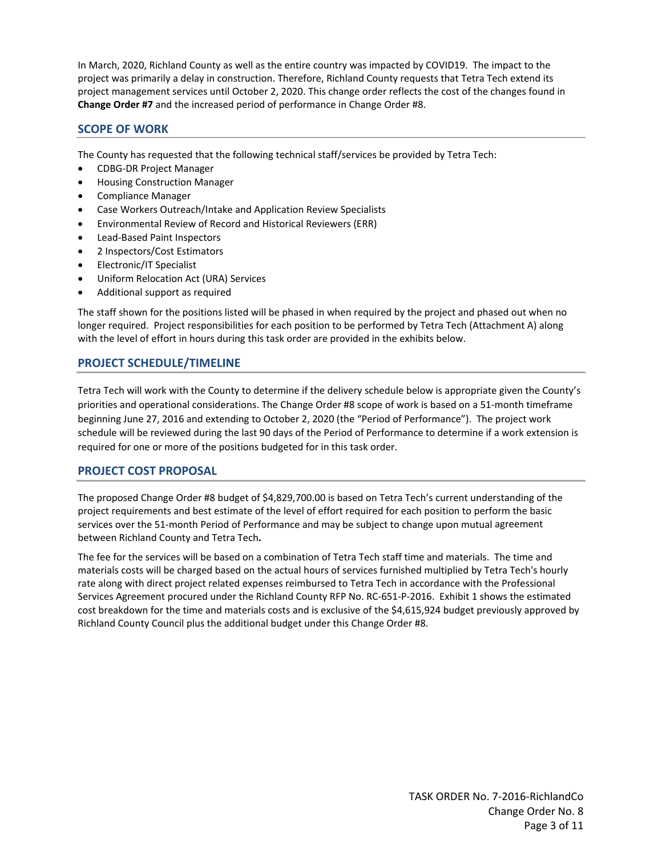In March, 2020, Richland County as well as the entire country was impacted by COVID19. The impact to the project was primarily a delay in construction. Therefore, Richland County requests that Tetra Tech extend its project management services until October 2, 2020. This change order reflects the cost of the changes found in **Change Order #7** and the increased period of performance in Change Order #8.

# **SCOPE OF WORK**

The County has requested that the following technical staff/services be provided by Tetra Tech:

- CDBG‐DR Project Manager
- Housing Construction Manager
- Compliance Manager
- Case Workers Outreach/Intake and Application Review Specialists
- Environmental Review of Record and Historical Reviewers (ERR)
- Lead‐Based Paint Inspectors
- 2 Inspectors/Cost Estimators
- Electronic/IT Specialist
- Uniform Relocation Act (URA) Services
- Additional support as required

The staff shown for the positions listed will be phased in when required by the project and phased out when no longer required. Project responsibilities for each position to be performed by Tetra Tech (Attachment A) along with the level of effort in hours during this task order are provided in the exhibits below.

# **PROJECT SCHEDULE/TIMELINE**

Tetra Tech will work with the County to determine if the delivery schedule below is appropriate given the County's priorities and operational considerations. The Change Order #8 scope of work is based on a 51‐month timeframe beginning June 27, 2016 and extending to October 2, 2020 (the "Period of Performance"). The project work schedule will be reviewed during the last 90 days of the Period of Performance to determine if a work extension is required for one or more of the positions budgeted for in this task order.

# **PROJECT COST PROPOSAL**

The proposed Change Order #8 budget of \$4,829,700.00 is based on Tetra Tech's current understanding of the project requirements and best estimate of the level of effort required for each position to perform the basic services over the 51-month Period of Performance and may be subject to change upon mutual agreement between Richland County and Tetra Tech**.**

The fee for the services will be based on a combination of Tetra Tech staff time and materials. The time and materials costs will be charged based on the actual hours of services furnished multiplied by Tetra Tech's hourly rate along with direct project related expenses reimbursed to Tetra Tech in accordance with the Professional Services Agreement procured under the Richland County RFP No. RC‐651‐P‐2016. Exhibit 1 shows the estimated cost breakdown for the time and materials costs and is exclusive of the \$4,615,924 budget previously approved by Richland County Council plus the additional budget under this Change Order #8.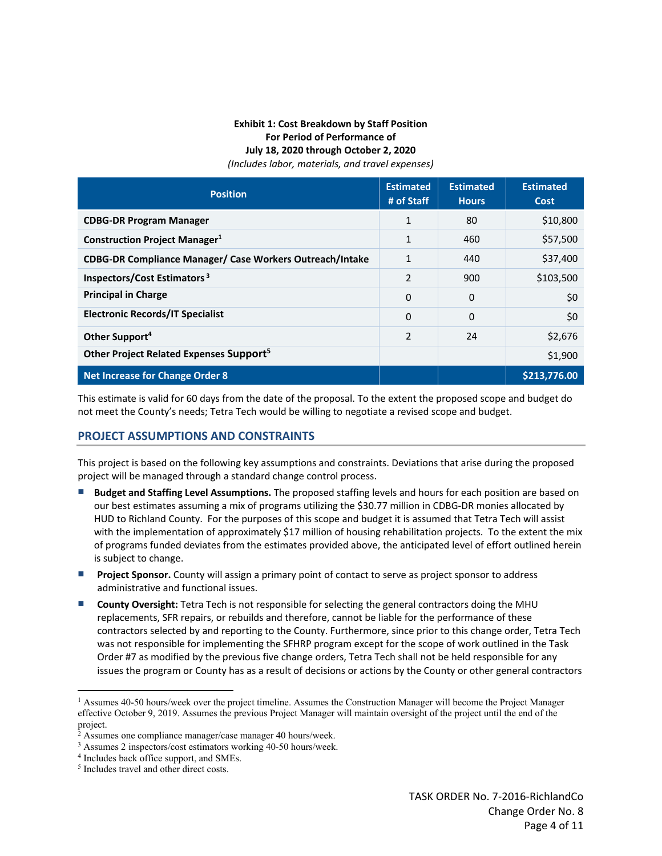### **Exhibit 1: Cost Breakdown by Staff Position For Period of Performance of July 18, 2020 through October 2, 2020** *(Includes labor, materials, and travel expenses)*

| <b>Position</b>                                          | <b>Estimated</b><br># of Staff | <b>Estimated</b><br><b>Hours</b> | <b>Estimated</b><br><b>Cost</b> |
|----------------------------------------------------------|--------------------------------|----------------------------------|---------------------------------|
| <b>CDBG-DR Program Manager</b>                           | $\mathbf{1}$                   | 80                               | \$10,800                        |
| <b>Construction Project Manager1</b>                     | $\mathbf{1}$                   | 460                              | \$57,500                        |
| CDBG-DR Compliance Manager/ Case Workers Outreach/Intake | $\mathbf{1}$                   | 440                              | \$37,400                        |
| Inspectors/Cost Estimators <sup>3</sup>                  | $\mathcal{P}$                  | 900                              | \$103,500                       |
| <b>Principal in Charge</b>                               | $\Omega$                       | 0                                | \$0                             |
| <b>Electronic Records/IT Specialist</b>                  | $\Omega$                       | 0                                | \$0                             |
| Other Support <sup>4</sup>                               | $\mathcal{P}$                  | 24                               | \$2,676                         |
| Other Project Related Expenses Support <sup>5</sup>      |                                |                                  | \$1,900                         |
| <b>Net Increase for Change Order 8</b>                   |                                |                                  | \$213,776.00                    |

This estimate is valid for 60 days from the date of the proposal. To the extent the proposed scope and budget do not meet the County's needs; Tetra Tech would be willing to negotiate a revised scope and budget.

# **PROJECT ASSUMPTIONS AND CONSTRAINTS**

This project is based on the following key assumptions and constraints. Deviations that arise during the proposed project will be managed through a standard change control process.

- **Budget and Staffing Level Assumptions.** The proposed staffing levels and hours for each position are based on our best estimates assuming a mix of programs utilizing the \$30.77 million in CDBG‐DR monies allocated by HUD to Richland County. For the purposes of this scope and budget it is assumed that Tetra Tech will assist with the implementation of approximately \$17 million of housing rehabilitation projects. To the extent the mix of programs funded deviates from the estimates provided above, the anticipated level of effort outlined herein is subject to change.
- **Project Sponsor.** County will assign a primary point of contact to serve as project sponsor to address administrative and functional issues.
- **County Oversight:** Tetra Tech is not responsible for selecting the general contractors doing the MHU replacements, SFR repairs, or rebuilds and therefore, cannot be liable for the performance of these contractors selected by and reporting to the County. Furthermore, since prior to this change order, Tetra Tech was not responsible for implementing the SFHRP program except for the scope of work outlined in the Task Order #7 as modified by the previous five change orders, Tetra Tech shall not be held responsible for any issues the program or County has as a result of decisions or actions by the County or other general contractors

<sup>&</sup>lt;sup>1</sup> Assumes 40-50 hours/week over the project timeline. Assumes the Construction Manager will become the Project Manager effective October 9, 2019. Assumes the previous Project Manager will maintain oversight of the project until the end of the project.

<sup>&</sup>lt;sup>2</sup> Assumes one compliance manager/case manager 40 hours/week.<br><sup>3</sup> Assumes 2 inspectors/cost estimators working 40-50 hours/week.

<sup>&</sup>lt;sup>4</sup> Includes back office support, and SMEs.<br><sup>5</sup> Includes travel and other direct costs.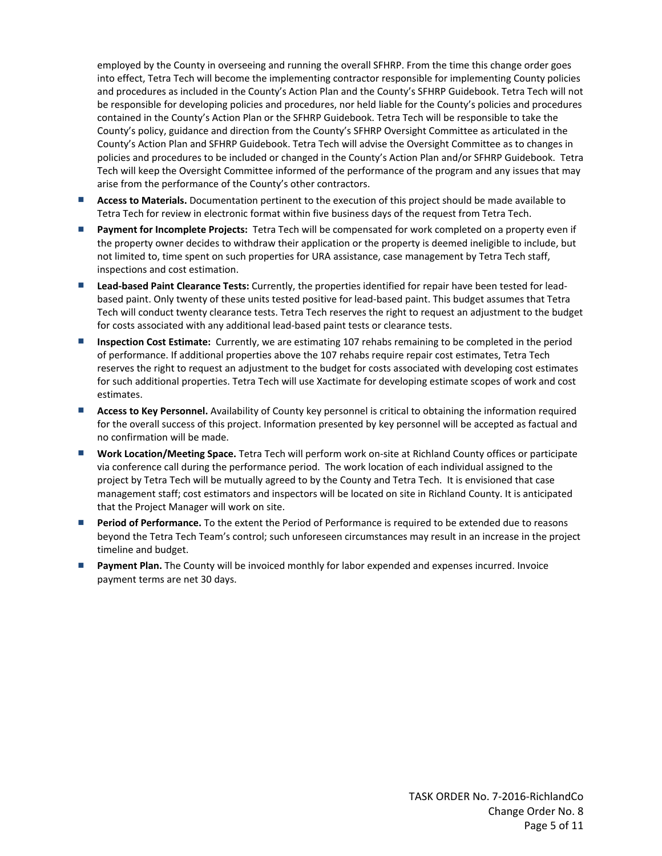employed by the County in overseeing and running the overall SFHRP. From the time this change order goes into effect, Tetra Tech will become the implementing contractor responsible for implementing County policies and procedures as included in the County's Action Plan and the County's SFHRP Guidebook. Tetra Tech will not be responsible for developing policies and procedures, nor held liable for the County's policies and procedures contained in the County's Action Plan or the SFHRP Guidebook. Tetra Tech will be responsible to take the County's policy, guidance and direction from the County's SFHRP Oversight Committee as articulated in the County's Action Plan and SFHRP Guidebook. Tetra Tech will advise the Oversight Committee as to changes in policies and procedures to be included or changed in the County's Action Plan and/or SFHRP Guidebook. Tetra Tech will keep the Oversight Committee informed of the performance of the program and any issues that may arise from the performance of the County's other contractors.

- **Access to Materials.** Documentation pertinent to the execution of this project should be made available to Tetra Tech for review in electronic format within five business days of the request from Tetra Tech.
- **Payment for Incomplete Projects:** Tetra Tech will be compensated for work completed on a property even if the property owner decides to withdraw their application or the property is deemed ineligible to include, but not limited to, time spent on such properties for URA assistance, case management by Tetra Tech staff, inspections and cost estimation.
- **Lead‐based Paint Clearance Tests:** Currently, the properties identified for repair have been tested for lead‐ based paint. Only twenty of these units tested positive for lead‐based paint. This budget assumes that Tetra Tech will conduct twenty clearance tests. Tetra Tech reserves the right to request an adjustment to the budget for costs associated with any additional lead‐based paint tests or clearance tests.
- **Inspection Cost Estimate:** Currently, we are estimating 107 rehabs remaining to be completed in the period of performance. If additional properties above the 107 rehabs require repair cost estimates, Tetra Tech reserves the right to request an adjustment to the budget for costs associated with developing cost estimates for such additional properties. Tetra Tech will use Xactimate for developing estimate scopes of work and cost estimates.
- **Access to Key Personnel.** Availability of County key personnel is critical to obtaining the information required for the overall success of this project. Information presented by key personnel will be accepted as factual and no confirmation will be made.
- **Work Location/Meeting Space.** Tetra Tech will perform work on‐site at Richland County offices or participate via conference call during the performance period. The work location of each individual assigned to the project by Tetra Tech will be mutually agreed to by the County and Tetra Tech. It is envisioned that case management staff; cost estimators and inspectors will be located on site in Richland County. It is anticipated that the Project Manager will work on site.
- **Period of Performance.** To the extent the Period of Performance is required to be extended due to reasons beyond the Tetra Tech Team's control; such unforeseen circumstances may result in an increase in the project timeline and budget.
- **Payment Plan.** The County will be invoiced monthly for labor expended and expenses incurred. Invoice payment terms are net 30 days.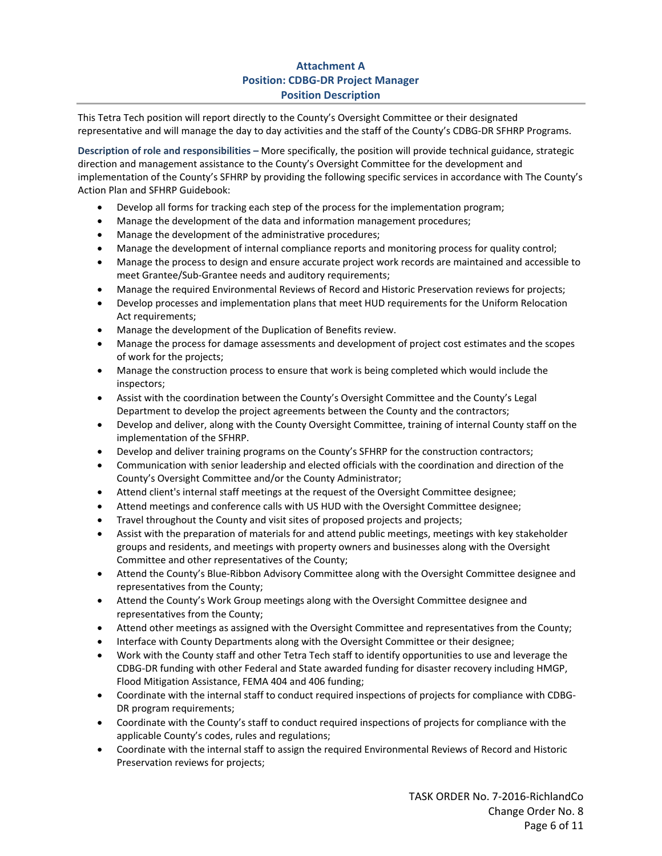# **Attachment A Position: CDBG‐DR Project Manager Position Description**

This Tetra Tech position will report directly to the County's Oversight Committee or their designated representative and will manage the day to day activities and the staff of the County's CDBG‐DR SFHRP Programs.

**Description of role and responsibilities –** More specifically, the position will provide technical guidance, strategic direction and management assistance to the County's Oversight Committee for the development and implementation of the County's SFHRP by providing the following specific services in accordance with The County's Action Plan and SFHRP Guidebook:

- Develop all forms for tracking each step of the process for the implementation program;
- Manage the development of the data and information management procedures;
- Manage the development of the administrative procedures;
- Manage the development of internal compliance reports and monitoring process for quality control;
- Manage the process to design and ensure accurate project work records are maintained and accessible to meet Grantee/Sub‐Grantee needs and auditory requirements;
- Manage the required Environmental Reviews of Record and Historic Preservation reviews for projects;
- Develop processes and implementation plans that meet HUD requirements for the Uniform Relocation Act requirements;
- Manage the development of the Duplication of Benefits review.
- Manage the process for damage assessments and development of project cost estimates and the scopes of work for the projects;
- Manage the construction process to ensure that work is being completed which would include the inspectors;
- Assist with the coordination between the County's Oversight Committee and the County's Legal Department to develop the project agreements between the County and the contractors;
- Develop and deliver, along with the County Oversight Committee, training of internal County staff on the implementation of the SFHRP.
- Develop and deliver training programs on the County's SFHRP for the construction contractors;
- Communication with senior leadership and elected officials with the coordination and direction of the County's Oversight Committee and/or the County Administrator;
- Attend client's internal staff meetings at the request of the Oversight Committee designee;
- Attend meetings and conference calls with US HUD with the Oversight Committee designee;
- Travel throughout the County and visit sites of proposed projects and projects;
- Assist with the preparation of materials for and attend public meetings, meetings with key stakeholder groups and residents, and meetings with property owners and businesses along with the Oversight Committee and other representatives of the County;
- Attend the County's Blue-Ribbon Advisory Committee along with the Oversight Committee designee and representatives from the County;
- Attend the County's Work Group meetings along with the Oversight Committee designee and representatives from the County;
- Attend other meetings as assigned with the Oversight Committee and representatives from the County;
- Interface with County Departments along with the Oversight Committee or their designee;
- Work with the County staff and other Tetra Tech staff to identify opportunities to use and leverage the CDBG‐DR funding with other Federal and State awarded funding for disaster recovery including HMGP, Flood Mitigation Assistance, FEMA 404 and 406 funding;
- Coordinate with the internal staff to conduct required inspections of projects for compliance with CDBG‐ DR program requirements;
- Coordinate with the County's staff to conduct required inspections of projects for compliance with the applicable County's codes, rules and regulations;
- Coordinate with the internal staff to assign the required Environmental Reviews of Record and Historic Preservation reviews for projects;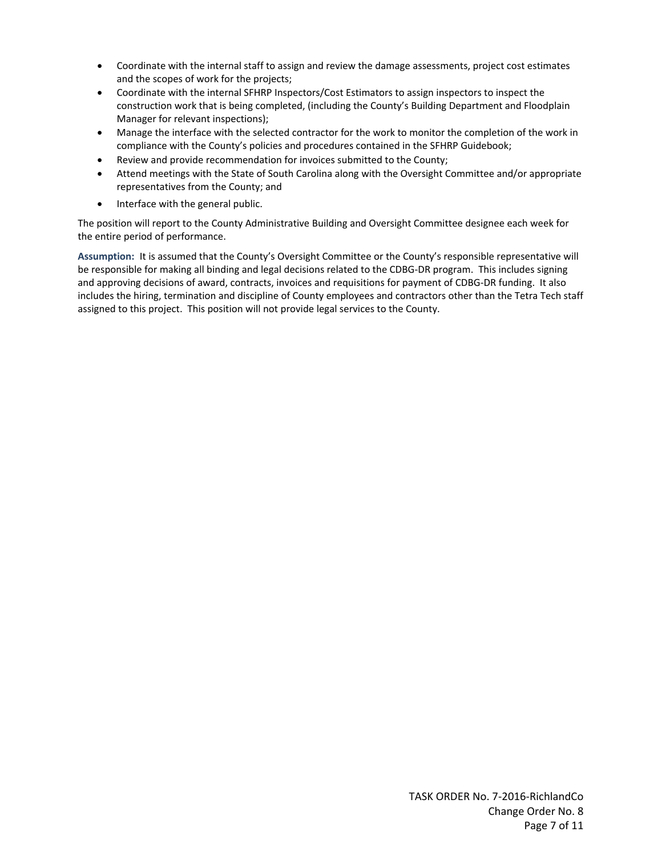- Coordinate with the internal staff to assign and review the damage assessments, project cost estimates and the scopes of work for the projects;
- Coordinate with the internal SFHRP Inspectors/Cost Estimators to assign inspectors to inspect the construction work that is being completed, (including the County's Building Department and Floodplain Manager for relevant inspections);
- Manage the interface with the selected contractor for the work to monitor the completion of the work in compliance with the County's policies and procedures contained in the SFHRP Guidebook;
- Review and provide recommendation for invoices submitted to the County;
- Attend meetings with the State of South Carolina along with the Oversight Committee and/or appropriate representatives from the County; and
- Interface with the general public.

The position will report to the County Administrative Building and Oversight Committee designee each week for the entire period of performance.

**Assumption:** It is assumed that the County's Oversight Committee or the County's responsible representative will be responsible for making all binding and legal decisions related to the CDBG‐DR program. This includes signing and approving decisions of award, contracts, invoices and requisitions for payment of CDBG‐DR funding. It also includes the hiring, termination and discipline of County employees and contractors other than the Tetra Tech staff assigned to this project. This position will not provide legal services to the County.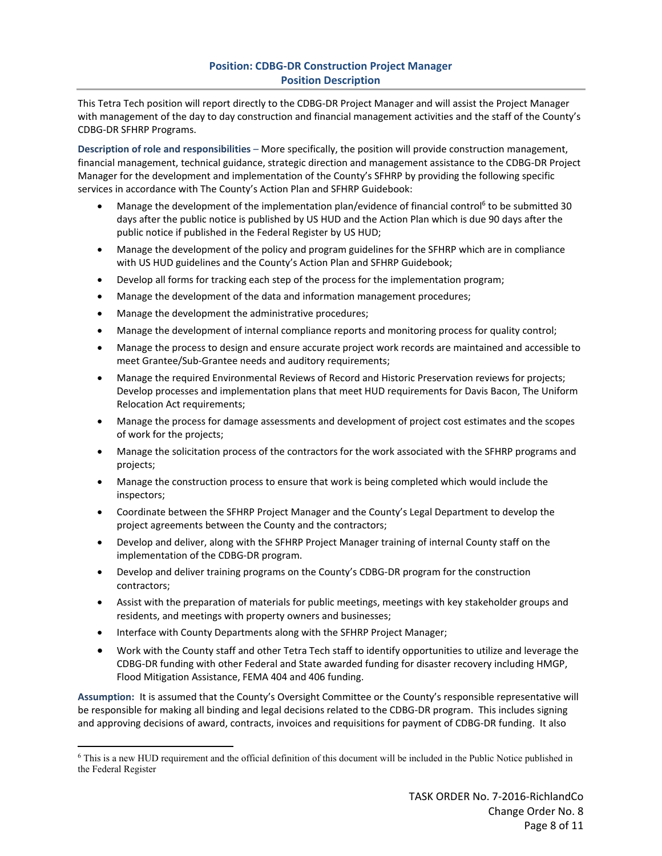# **Position: CDBG‐DR Construction Project Manager Position Description**

This Tetra Tech position will report directly to the CDBG‐DR Project Manager and will assist the Project Manager with management of the day to day construction and financial management activities and the staff of the County's CDBG‐DR SFHRP Programs.

**Description of role and responsibilities** – More specifically, the position will provide construction management, financial management, technical guidance, strategic direction and management assistance to the CDBG‐DR Project Manager for the development and implementation of the County's SFHRP by providing the following specific services in accordance with The County's Action Plan and SFHRP Guidebook:

- Manage the development of the implementation plan/evidence of financial control<sup>6</sup> to be submitted 30 days after the public notice is published by US HUD and the Action Plan which is due 90 days after the public notice if published in the Federal Register by US HUD;
- Manage the development of the policy and program guidelines for the SFHRP which are in compliance with US HUD guidelines and the County's Action Plan and SFHRP Guidebook;
- Develop all forms for tracking each step of the process for the implementation program;
- Manage the development of the data and information management procedures;
- Manage the development the administrative procedures;
- Manage the development of internal compliance reports and monitoring process for quality control;
- Manage the process to design and ensure accurate project work records are maintained and accessible to meet Grantee/Sub‐Grantee needs and auditory requirements;
- Manage the required Environmental Reviews of Record and Historic Preservation reviews for projects; Develop processes and implementation plans that meet HUD requirements for Davis Bacon, The Uniform Relocation Act requirements;
- Manage the process for damage assessments and development of project cost estimates and the scopes of work for the projects;
- Manage the solicitation process of the contractors for the work associated with the SFHRP programs and projects;
- Manage the construction process to ensure that work is being completed which would include the inspectors;
- Coordinate between the SFHRP Project Manager and the County's Legal Department to develop the project agreements between the County and the contractors;
- Develop and deliver, along with the SFHRP Project Manager training of internal County staff on the implementation of the CDBG‐DR program.
- Develop and deliver training programs on the County's CDBG-DR program for the construction contractors;
- Assist with the preparation of materials for public meetings, meetings with key stakeholder groups and residents, and meetings with property owners and businesses;
- Interface with County Departments along with the SFHRP Project Manager;
- Work with the County staff and other Tetra Tech staff to identify opportunities to utilize and leverage the CDBG‐DR funding with other Federal and State awarded funding for disaster recovery including HMGP, Flood Mitigation Assistance, FEMA 404 and 406 funding.

**Assumption:** It is assumed that the County's Oversight Committee or the County's responsible representative will be responsible for making all binding and legal decisions related to the CDBG‐DR program. This includes signing and approving decisions of award, contracts, invoices and requisitions for payment of CDBG‐DR funding. It also

<sup>6</sup> This is a new HUD requirement and the official definition of this document will be included in the Public Notice published in the Federal Register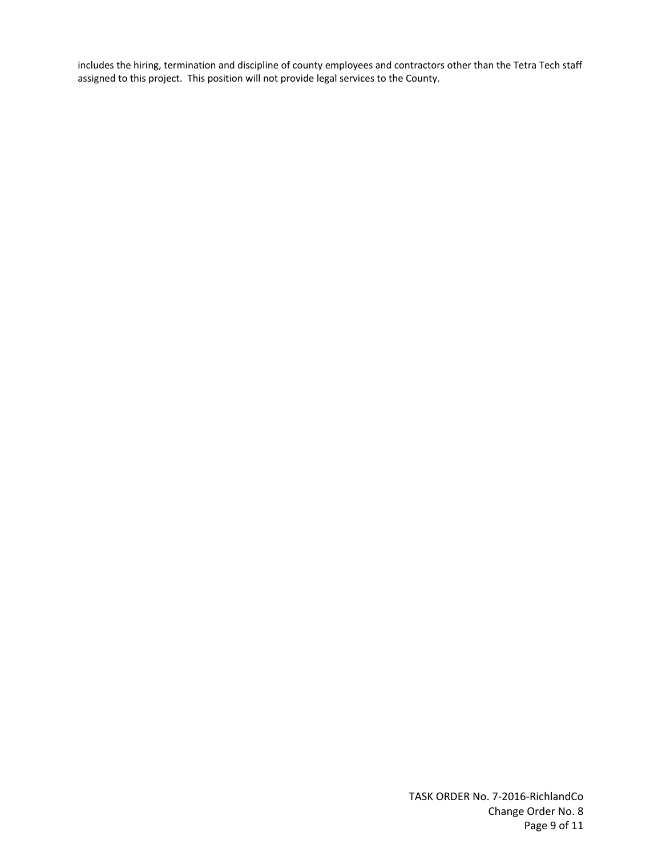includes the hiring, termination and discipline of county employees and contractors other than the Tetra Tech staff assigned to this project. This position will not provide legal services to the County.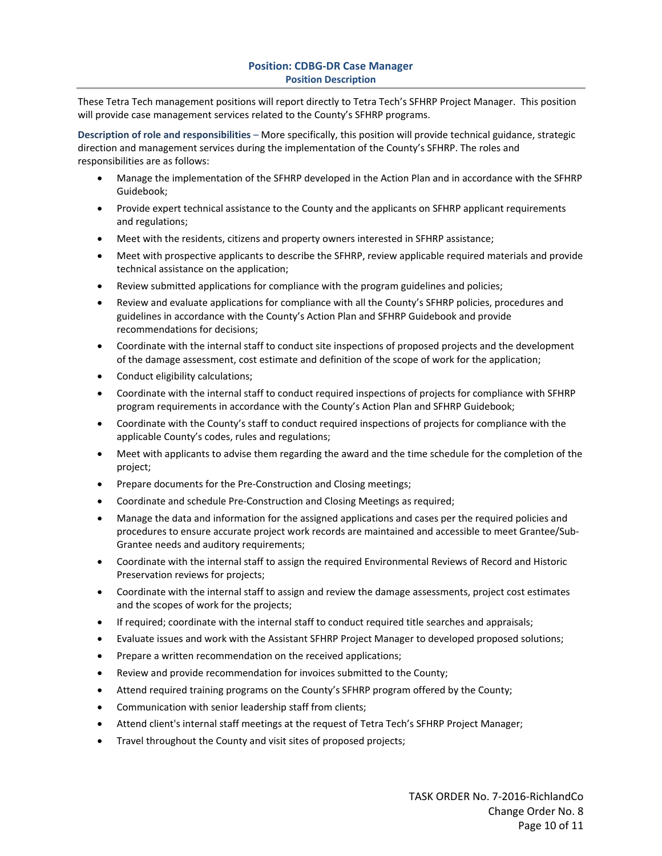### **Position: CDBG‐DR Case Manager Position Description**

These Tetra Tech management positions will report directly to Tetra Tech's SFHRP Project Manager. This position will provide case management services related to the County's SFHRP programs.

**Description of role and responsibilities** – More specifically, this position will provide technical guidance, strategic direction and management services during the implementation of the County's SFHRP. The roles and responsibilities are as follows:

- Manage the implementation of the SFHRP developed in the Action Plan and in accordance with the SFHRP Guidebook;
- Provide expert technical assistance to the County and the applicants on SFHRP applicant requirements and regulations;
- Meet with the residents, citizens and property owners interested in SFHRP assistance;
- Meet with prospective applicants to describe the SFHRP, review applicable required materials and provide technical assistance on the application;
- Review submitted applications for compliance with the program guidelines and policies;
- Review and evaluate applications for compliance with all the County's SFHRP policies, procedures and guidelines in accordance with the County's Action Plan and SFHRP Guidebook and provide recommendations for decisions;
- Coordinate with the internal staff to conduct site inspections of proposed projects and the development of the damage assessment, cost estimate and definition of the scope of work for the application;
- Conduct eligibility calculations;
- Coordinate with the internal staff to conduct required inspections of projects for compliance with SFHRP program requirements in accordance with the County's Action Plan and SFHRP Guidebook;
- Coordinate with the County's staff to conduct required inspections of projects for compliance with the applicable County's codes, rules and regulations;
- Meet with applicants to advise them regarding the award and the time schedule for the completion of the project;
- Prepare documents for the Pre‐Construction and Closing meetings;
- Coordinate and schedule Pre‐Construction and Closing Meetings as required;
- Manage the data and information for the assigned applications and cases per the required policies and procedures to ensure accurate project work records are maintained and accessible to meet Grantee/Sub-Grantee needs and auditory requirements;
- Coordinate with the internal staff to assign the required Environmental Reviews of Record and Historic Preservation reviews for projects;
- Coordinate with the internal staff to assign and review the damage assessments, project cost estimates and the scopes of work for the projects;
- If required; coordinate with the internal staff to conduct required title searches and appraisals;
- Evaluate issues and work with the Assistant SFHRP Project Manager to developed proposed solutions;
- Prepare a written recommendation on the received applications;
- Review and provide recommendation for invoices submitted to the County;
- Attend required training programs on the County's SFHRP program offered by the County;
- Communication with senior leadership staff from clients;
- Attend client's internal staff meetings at the request of Tetra Tech's SFHRP Project Manager;
- Travel throughout the County and visit sites of proposed projects;